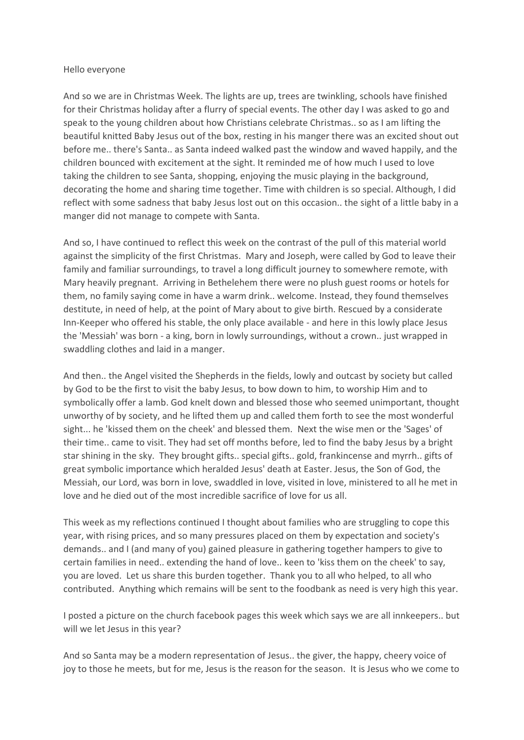#### Hello everyone

And so we are in Christmas Week. The lights are up, trees are twinkling, schools have finished for their Christmas holiday after a flurry of special events. The other day I was asked to go and speak to the young children about how Christians celebrate Christmas.. so as I am lifting the beautiful knitted Baby Jesus out of the box, resting in his manger there was an excited shout out before me.. there's Santa.. as Santa indeed walked past the window and waved happily, and the children bounced with excitement at the sight. It reminded me of how much I used to love taking the children to see Santa, shopping, enjoying the music playing in the background, decorating the home and sharing time together. Time with children is so special. Although, I did reflect with some sadness that baby Jesus lost out on this occasion.. the sight of a little baby in a manger did not manage to compete with Santa.

And so, I have continued to reflect this week on the contrast of the pull of this material world against the simplicity of the first Christmas. Mary and Joseph, were called by God to leave their family and familiar surroundings, to travel a long difficult journey to somewhere remote, with Mary heavily pregnant. Arriving in Bethelehem there were no plush guest rooms or hotels for them, no family saying come in have a warm drink.. welcome. Instead, they found themselves destitute, in need of help, at the point of Mary about to give birth. Rescued by a considerate Inn-Keeper who offered his stable, the only place available - and here in this lowly place Jesus the 'Messiah' was born - a king, born in lowly surroundings, without a crown.. just wrapped in swaddling clothes and laid in a manger.

And then.. the Angel visited the Shepherds in the fields, lowly and outcast by society but called by God to be the first to visit the baby Jesus, to bow down to him, to worship Him and to symbolically offer a lamb. God knelt down and blessed those who seemed unimportant, thought unworthy of by society, and he lifted them up and called them forth to see the most wonderful sight... he 'kissed them on the cheek' and blessed them. Next the wise men or the 'Sages' of their time.. came to visit. They had set off months before, led to find the baby Jesus by a bright star shining in the sky. They brought gifts.. special gifts.. gold, frankincense and myrrh.. gifts of great symbolic importance which heralded Jesus' death at Easter. Jesus, the Son of God, the Messiah, our Lord, was born in love, swaddled in love, visited in love, ministered to all he met in love and he died out of the most incredible sacrifice of love for us all.

This week as my reflections continued I thought about families who are struggling to cope this year, with rising prices, and so many pressures placed on them by expectation and society's demands.. and I (and many of you) gained pleasure in gathering together hampers to give to certain families in need.. extending the hand of love.. keen to 'kiss them on the cheek' to say, you are loved. Let us share this burden together. Thank you to all who helped, to all who contributed. Anything which remains will be sent to the foodbank as need is very high this year.

I posted a picture on the church facebook pages this week which says we are all innkeepers.. but will we let Jesus in this year?

And so Santa may be a modern representation of Jesus.. the giver, the happy, cheery voice of joy to those he meets, but for me, Jesus is the reason for the season. It is Jesus who we come to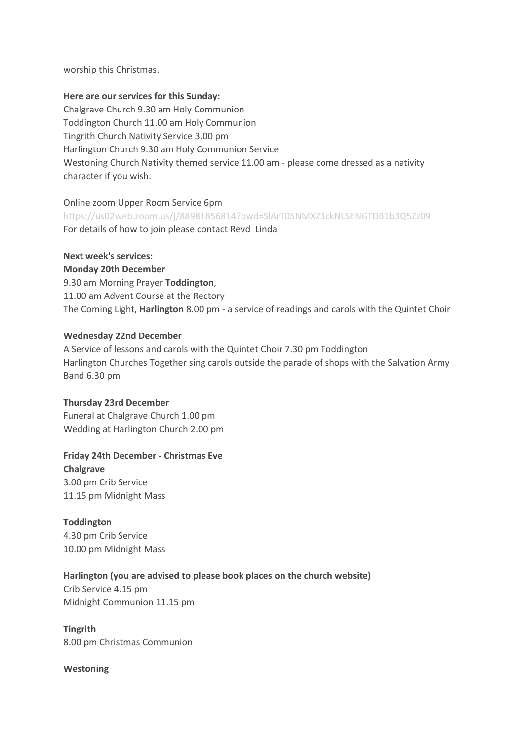worship this Christmas.

### **Here are our services for this Sunday:**

Chalgrave Church 9.30 am Holy Communion Toddington Church 11.00 am Holy Communion Tingrith Church Nativity Service 3.00 pm Harlington Church 9.30 am Holy Communion Service Westoning Church Nativity themed service 11.00 am - please come dressed as a nativity character if you wish.

### Online zoom Upper Room Service 6pm

<https://us02web.zoom.us/j/88981856814?pwd=SlArT05NMXZ3ckNLSENGTDB1b3Q5Zz09> For details of how to join please contact Revd Linda

### **Next week's services:**

# **Monday 20th December**

9.30 am Morning Prayer **Toddington**, 11.00 am Advent Course at the Rectory The Coming Light, **Harlington** 8.00 pm - a service of readings and carols with the Quintet Choir

## **Wednesday 22nd December**

A Service of lessons and carols with the Quintet Choir 7.30 pm Toddington Harlington Churches Together sing carols outside the parade of shops with the Salvation Army Band 6.30 pm

## **Thursday 23rd December**

Funeral at Chalgrave Church 1.00 pm Wedding at Harlington Church 2.00 pm

# **Friday 24th December - Christmas Eve**

**Chalgrave** 3.00 pm Crib Service 11.15 pm Midnight Mass

**Toddington** 4.30 pm Crib Service 10.00 pm Midnight Mass

# **Harlington (you are advised to please book places on the church website)**

Crib Service 4.15 pm Midnight Communion 11.15 pm

**Tingrith** 8.00 pm Christmas Communion

**Westoning**